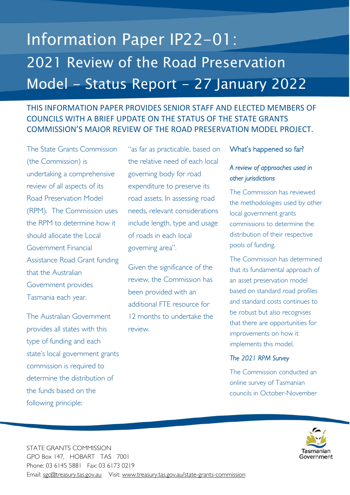# Information Paper IP22-01: 2021 Review of the Road Preservation Model - Status Report - 27 January 2022

## THIS INFORMATION PAPER PROVIDES SENIOR STAFF AND ELECTED MEMBERS OF COUNCILS WITH A BRIEF UPDATE ON THE STATUS OF THE STATE GRANTS COMMISSION'S MAJOR REVIEW OF THE ROAD PRESERVATION MODEL PROJECT.

The State Grants Commission (the Commission) is undertaking a comprehensive review of all aspects of its Road Preservation Model (RPM). The Commission uses the RPM to determine how it should allocate the Local Government Financial Assistance Road Grant funding that the Australian Government provides Tasmania each year.

The Australian Government provides all states with this type of funding and each state's local government grants commission is required to determine the distribution of the funds based on the following principle:

"as far as practicable, based on the relative need of each local governing body for road expenditure to preserve its road assets. In assessing road needs, relevant considerations include length, type and usage of roads in each local governing area".

Given the significance of the review, the Commission has been provided with an additional FTE resource for 12 months to undertake the review.

### What's happened so far?

## *A review of approaches used in other jurisdictions*

The Commission has reviewed the methodologies used by other local government grants commissions to determine the distribution of their respective pools of funding.

The Commission has determined that its fundamental approach of an asset preservation model based on standard road profiles and standard costs continues to be robust but also recognises that there are opportunities for improvements on how it implements this model.

## *The 2021 RPM Survey*

The Commission conducted an online survey of Tasmanian councils in October-November



STATE GRANTS COMMISSION GPO Box 147, HOBART TAS 7001 Phone: 03 6145 5881 Fax: 03 6173 0219 Email: sgc@treasury.tas.gov.au Visit: www.treasury.tas.gov.au/state-grants-commission